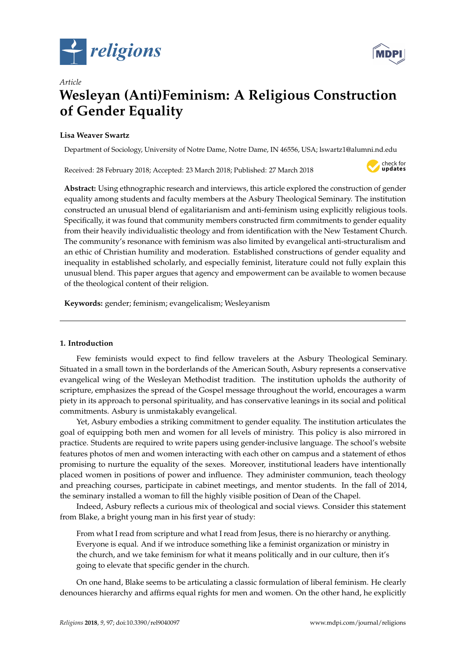



# *Article* **Wesleyan (Anti)Feminism: A Religious Construction of Gender Equality**

# **Lisa Weaver Swartz**

Department of Sociology, University of Notre Dame, Notre Dame, IN 46556, USA; lswartz1@alumni.nd.edu

Received: 28 February 2018; Accepted: 23 March 2018; Published: 27 March 2018



**Abstract:** Using ethnographic research and interviews, this article explored the construction of gender equality among students and faculty members at the Asbury Theological Seminary. The institution constructed an unusual blend of egalitarianism and anti-feminism using explicitly religious tools. Specifically, it was found that community members constructed firm commitments to gender equality from their heavily individualistic theology and from identification with the New Testament Church. The community's resonance with feminism was also limited by evangelical anti-structuralism and an ethic of Christian humility and moderation. Established constructions of gender equality and inequality in established scholarly, and especially feminist, literature could not fully explain this unusual blend. This paper argues that agency and empowerment can be available to women because of the theological content of their religion.

**Keywords:** gender; feminism; evangelicalism; Wesleyanism

# **1. Introduction**

Few feminists would expect to find fellow travelers at the Asbury Theological Seminary. Situated in a small town in the borderlands of the American South, Asbury represents a conservative evangelical wing of the Wesleyan Methodist tradition. The institution upholds the authority of scripture, emphasizes the spread of the Gospel message throughout the world, encourages a warm piety in its approach to personal spirituality, and has conservative leanings in its social and political commitments. Asbury is unmistakably evangelical.

Yet, Asbury embodies a striking commitment to gender equality. The institution articulates the goal of equipping both men and women for all levels of ministry. This policy is also mirrored in practice. Students are required to write papers using gender-inclusive language. The school's website features photos of men and women interacting with each other on campus and a statement of ethos promising to nurture the equality of the sexes. Moreover, institutional leaders have intentionally placed women in positions of power and influence. They administer communion, teach theology and preaching courses, participate in cabinet meetings, and mentor students. In the fall of 2014, the seminary installed a woman to fill the highly visible position of Dean of the Chapel.

Indeed, Asbury reflects a curious mix of theological and social views. Consider this statement from Blake, a bright young man in his first year of study:

From what I read from scripture and what I read from Jesus, there is no hierarchy or anything. Everyone is equal. And if we introduce something like a feminist organization or ministry in the church, and we take feminism for what it means politically and in our culture, then it's going to elevate that specific gender in the church.

On one hand, Blake seems to be articulating a classic formulation of liberal feminism. He clearly denounces hierarchy and affirms equal rights for men and women. On the other hand, he explicitly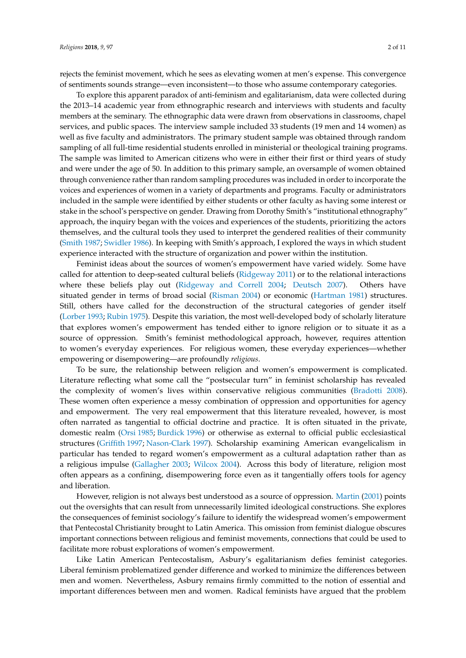rejects the feminist movement, which he sees as elevating women at men's expense. This convergence of sentiments sounds strange—even inconsistent—to those who assume contemporary categories.

To explore this apparent paradox of anti-feminism and egalitarianism, data were collected during the 2013–14 academic year from ethnographic research and interviews with students and faculty members at the seminary. The ethnographic data were drawn from observations in classrooms, chapel services, and public spaces. The interview sample included 33 students (19 men and 14 women) as well as five faculty and administrators. The primary student sample was obtained through random sampling of all full-time residential students enrolled in ministerial or theological training programs. The sample was limited to American citizens who were in either their first or third years of study and were under the age of 50. In addition to this primary sample, an oversample of women obtained through convenience rather than random sampling procedures was included in order to incorporate the voices and experiences of women in a variety of departments and programs. Faculty or administrators included in the sample were identified by either students or other faculty as having some interest or stake in the school's perspective on gender. Drawing from Dorothy Smith's "institutional ethnography" approach, the inquiry began with the voices and experiences of the students, prioritizing the actors themselves, and the cultural tools they used to interpret the gendered realities of their community [\(Smith](#page-9-0) [1987;](#page-9-0) [Swidler](#page-10-0) [1986\)](#page-10-0). In keeping with Smith's approach, I explored the ways in which student experience interacted with the structure of organization and power within the institution.

Feminist ideas about the sources of women's empowerment have varied widely. Some have called for attention to deep-seated cultural beliefs [\(Ridgeway](#page-9-1) [2011\)](#page-9-1) or to the relational interactions where these beliefs play out [\(Ridgeway and Correll](#page-9-2) [2004;](#page-9-2) [Deutsch](#page-9-3) [2007\)](#page-9-3). Others have situated gender in terms of broad social [\(Risman](#page-9-4) [2004\)](#page-9-4) or economic [\(Hartman](#page-9-5) [1981\)](#page-9-5) structures. Still, others have called for the deconstruction of the structural categories of gender itself [\(Lorber](#page-9-6) [1993;](#page-9-6) [Rubin](#page-9-7) [1975\)](#page-9-7). Despite this variation, the most well-developed body of scholarly literature that explores women's empowerment has tended either to ignore religion or to situate it as a source of oppression. Smith's feminist methodological approach, however, requires attention to women's everyday experiences. For religious women, these everyday experiences—whether empowering or disempowering—are profoundly *religious*.

To be sure, the relationship between religion and women's empowerment is complicated. Literature reflecting what some call the "postsecular turn" in feminist scholarship has revealed the complexity of women's lives within conservative religious communities [\(Bradotti](#page-9-8) [2008\)](#page-9-8). These women often experience a messy combination of oppression and opportunities for agency and empowerment. The very real empowerment that this literature revealed, however, is most often narrated as tangential to official doctrine and practice. It is often situated in the private, domestic realm [\(Orsi](#page-9-9) [1985;](#page-9-9) [Burdick](#page-9-10) [1996\)](#page-9-10) or otherwise as external to official public ecclesiastical structures [\(Griffith](#page-9-11) [1997;](#page-9-11) [Nason-Clark](#page-9-12) [1997\)](#page-9-12). Scholarship examining American evangelicalism in particular has tended to regard women's empowerment as a cultural adaptation rather than as a religious impulse [\(Gallagher](#page-9-13) [2003;](#page-9-13) [Wilcox](#page-10-1) [2004\)](#page-10-1). Across this body of literature, religion most often appears as a confining, disempowering force even as it tangentially offers tools for agency and liberation.

However, religion is not always best understood as a source of oppression. [Martin](#page-9-14) [\(2001\)](#page-9-14) points out the oversights that can result from unnecessarily limited ideological constructions. She explores the consequences of feminist sociology's failure to identify the widespread women's empowerment that Pentecostal Christianity brought to Latin America. This omission from feminist dialogue obscures important connections between religious and feminist movements, connections that could be used to facilitate more robust explorations of women's empowerment.

Like Latin American Pentecostalism, Asbury's egalitarianism defies feminist categories. Liberal feminism problematized gender difference and worked to minimize the differences between men and women. Nevertheless, Asbury remains firmly committed to the notion of essential and important differences between men and women. Radical feminists have argued that the problem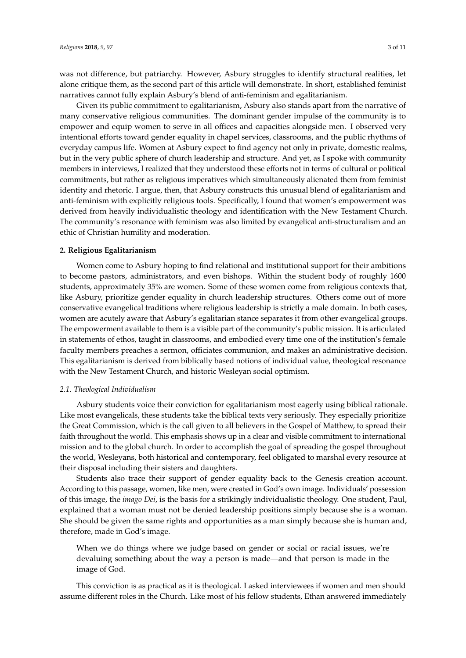was not difference, but patriarchy. However, Asbury struggles to identify structural realities, let alone critique them, as the second part of this article will demonstrate. In short, established feminist narratives cannot fully explain Asbury's blend of anti-feminism and egalitarianism.

Given its public commitment to egalitarianism, Asbury also stands apart from the narrative of many conservative religious communities. The dominant gender impulse of the community is to empower and equip women to serve in all offices and capacities alongside men. I observed very intentional efforts toward gender equality in chapel services, classrooms, and the public rhythms of everyday campus life. Women at Asbury expect to find agency not only in private, domestic realms, but in the very public sphere of church leadership and structure. And yet, as I spoke with community members in interviews, I realized that they understood these efforts not in terms of cultural or political commitments, but rather as religious imperatives which simultaneously alienated them from feminist identity and rhetoric. I argue, then, that Asbury constructs this unusual blend of egalitarianism and anti-feminism with explicitly religious tools. Specifically, I found that women's empowerment was derived from heavily individualistic theology and identification with the New Testament Church. The community's resonance with feminism was also limited by evangelical anti-structuralism and an ethic of Christian humility and moderation.

## **2. Religious Egalitarianism**

Women come to Asbury hoping to find relational and institutional support for their ambitions to become pastors, administrators, and even bishops. Within the student body of roughly 1600 students, approximately 35% are women. Some of these women come from religious contexts that, like Asbury, prioritize gender equality in church leadership structures. Others come out of more conservative evangelical traditions where religious leadership is strictly a male domain. In both cases, women are acutely aware that Asbury's egalitarian stance separates it from other evangelical groups. The empowerment available to them is a visible part of the community's public mission. It is articulated in statements of ethos, taught in classrooms, and embodied every time one of the institution's female faculty members preaches a sermon, officiates communion, and makes an administrative decision. This egalitarianism is derived from biblically based notions of individual value, theological resonance with the New Testament Church, and historic Wesleyan social optimism.

# *2.1. Theological Individualism*

Asbury students voice their conviction for egalitarianism most eagerly using biblical rationale. Like most evangelicals, these students take the biblical texts very seriously. They especially prioritize the Great Commission, which is the call given to all believers in the Gospel of Matthew, to spread their faith throughout the world. This emphasis shows up in a clear and visible commitment to international mission and to the global church. In order to accomplish the goal of spreading the gospel throughout the world, Wesleyans, both historical and contemporary, feel obligated to marshal every resource at their disposal including their sisters and daughters.

Students also trace their support of gender equality back to the Genesis creation account. According to this passage, women, like men, were created in God's own image. Individuals' possession of this image, the *imago Dei*, is the basis for a strikingly individualistic theology. One student, Paul, explained that a woman must not be denied leadership positions simply because she is a woman. She should be given the same rights and opportunities as a man simply because she is human and, therefore, made in God's image.

When we do things where we judge based on gender or social or racial issues, we're devaluing something about the way a person is made—and that person is made in the image of God.

This conviction is as practical as it is theological. I asked interviewees if women and men should assume different roles in the Church. Like most of his fellow students, Ethan answered immediately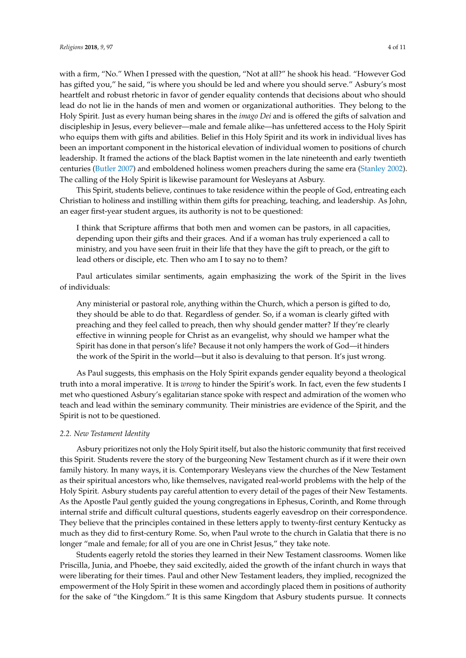with a firm, "No." When I pressed with the question, "Not at all?" he shook his head. "However God has gifted you," he said, "is where you should be led and where you should serve." Asbury's most heartfelt and robust rhetoric in favor of gender equality contends that decisions about who should lead do not lie in the hands of men and women or organizational authorities. They belong to the Holy Spirit. Just as every human being shares in the *imago Dei* and is offered the gifts of salvation and discipleship in Jesus, every believer—male and female alike—has unfettered access to the Holy Spirit who equips them with gifts and abilities. Belief in this Holy Spirit and its work in individual lives has been an important component in the historical elevation of individual women to positions of church leadership. It framed the actions of the black Baptist women in the late nineteenth and early twentieth centuries [\(Butler](#page-9-15) [2007\)](#page-9-15) and emboldened holiness women preachers during the same era [\(Stanley](#page-10-2) [2002\)](#page-10-2). The calling of the Holy Spirit is likewise paramount for Wesleyans at Asbury.

This Spirit, students believe, continues to take residence within the people of God, entreating each Christian to holiness and instilling within them gifts for preaching, teaching, and leadership. As John, an eager first-year student argues, its authority is not to be questioned:

I think that Scripture affirms that both men and women can be pastors, in all capacities, depending upon their gifts and their graces. And if a woman has truly experienced a call to ministry, and you have seen fruit in their life that they have the gift to preach, or the gift to lead others or disciple, etc. Then who am I to say no to them?

Paul articulates similar sentiments, again emphasizing the work of the Spirit in the lives of individuals:

Any ministerial or pastoral role, anything within the Church, which a person is gifted to do, they should be able to do that. Regardless of gender. So, if a woman is clearly gifted with preaching and they feel called to preach, then why should gender matter? If they're clearly effective in winning people for Christ as an evangelist, why should we hamper what the Spirit has done in that person's life? Because it not only hampers the work of God—it hinders the work of the Spirit in the world—but it also is devaluing to that person. It's just wrong.

As Paul suggests, this emphasis on the Holy Spirit expands gender equality beyond a theological truth into a moral imperative. It is *wrong* to hinder the Spirit's work. In fact, even the few students I met who questioned Asbury's egalitarian stance spoke with respect and admiration of the women who teach and lead within the seminary community. Their ministries are evidence of the Spirit, and the Spirit is not to be questioned.

# *2.2. New Testament Identity*

Asbury prioritizes not only the Holy Spirit itself, but also the historic community that first received this Spirit. Students revere the story of the burgeoning New Testament church as if it were their own family history. In many ways, it is. Contemporary Wesleyans view the churches of the New Testament as their spiritual ancestors who, like themselves, navigated real-world problems with the help of the Holy Spirit. Asbury students pay careful attention to every detail of the pages of their New Testaments. As the Apostle Paul gently guided the young congregations in Ephesus, Corinth, and Rome through internal strife and difficult cultural questions, students eagerly eavesdrop on their correspondence. They believe that the principles contained in these letters apply to twenty-first century Kentucky as much as they did to first-century Rome. So, when Paul wrote to the church in Galatia that there is no longer "male and female; for all of you are one in Christ Jesus," they take note.

Students eagerly retold the stories they learned in their New Testament classrooms. Women like Priscilla, Junia, and Phoebe, they said excitedly, aided the growth of the infant church in ways that were liberating for their times. Paul and other New Testament leaders, they implied, recognized the empowerment of the Holy Spirit in these women and accordingly placed them in positions of authority for the sake of "the Kingdom." It is this same Kingdom that Asbury students pursue. It connects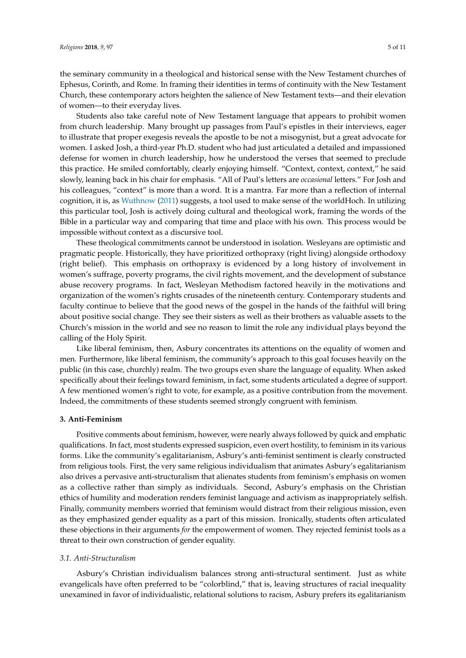the seminary community in a theological and historical sense with the New Testament churches of Ephesus, Corinth, and Rome. In framing their identities in terms of continuity with the New Testament Church, these contemporary actors heighten the salience of New Testament texts—and their elevation of women—to their everyday lives.

Students also take careful note of New Testament language that appears to prohibit women from church leadership. Many brought up passages from Paul's epistles in their interviews, eager to illustrate that proper exegesis reveals the apostle to be not a misogynist, but a great advocate for women. I asked Josh, a third-year Ph.D. student who had just articulated a detailed and impassioned defense for women in church leadership, how he understood the verses that seemed to preclude this practice. He smiled comfortably, clearly enjoying himself. "Context, context, context," he said slowly, leaning back in his chair for emphasis. "All of Paul's letters are *occasional* letters." For Josh and his colleagues, "context" is more than a word. It is a mantra. Far more than a reflection of internal cognition, it is, as [Wuthnow](#page-10-3) [\(2011\)](#page-10-3) suggests, a tool used to make sense of the worldHoch. In utilizing this particular tool, Josh is actively doing cultural and theological work, framing the words of the Bible in a particular way and comparing that time and place with his own. This process would be impossible without context as a discursive tool.

These theological commitments cannot be understood in isolation. Wesleyans are optimistic and pragmatic people. Historically, they have prioritized orthopraxy (right living) alongside orthodoxy (right belief). This emphasis on orthopraxy is evidenced by a long history of involvement in women's suffrage, poverty programs, the civil rights movement, and the development of substance abuse recovery programs. In fact, Wesleyan Methodism factored heavily in the motivations and organization of the women's rights crusades of the nineteenth century. Contemporary students and faculty continue to believe that the good news of the gospel in the hands of the faithful will bring about positive social change. They see their sisters as well as their brothers as valuable assets to the Church's mission in the world and see no reason to limit the role any individual plays beyond the calling of the Holy Spirit.

Like liberal feminism, then, Asbury concentrates its attentions on the equality of women and men. Furthermore, like liberal feminism, the community's approach to this goal focuses heavily on the public (in this case, churchly) realm. The two groups even share the language of equality. When asked specifically about their feelings toward feminism, in fact, some students articulated a degree of support. A few mentioned women's right to vote, for example, as a positive contribution from the movement. Indeed, the commitments of these students seemed strongly congruent with feminism.

#### **3. Anti-Feminism**

Positive comments about feminism, however, were nearly always followed by quick and emphatic qualifications. In fact, most students expressed suspicion, even overt hostility, to feminism in its various forms. Like the community's egalitarianism, Asbury's anti-feminist sentiment is clearly constructed from religious tools. First, the very same religious individualism that animates Asbury's egalitarianism also drives a pervasive anti-structuralism that alienates students from feminism's emphasis on women as a collective rather than simply as individuals. Second, Asbury's emphasis on the Christian ethics of humility and moderation renders feminist language and activism as inappropriately selfish. Finally, community members worried that feminism would distract from their religious mission, even as they emphasized gender equality as a part of this mission. Ironically, students often articulated these objections in their arguments *for* the empowerment of women. They rejected feminist tools as a threat to their own construction of gender equality.

#### *3.1. Anti-Structuralism*

Asbury's Christian individualism balances strong anti-structural sentiment. Just as white evangelicals have often preferred to be "colorblind," that is, leaving structures of racial inequality unexamined in favor of individualistic, relational solutions to racism, Asbury prefers its egalitarianism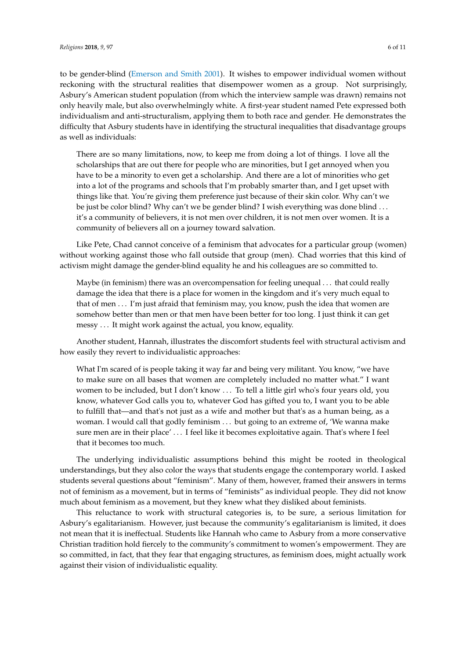to be gender-blind [\(Emerson and Smith](#page-9-16) [2001\)](#page-9-16). It wishes to empower individual women without reckoning with the structural realities that disempower women as a group. Not surprisingly, Asbury's American student population (from which the interview sample was drawn) remains not only heavily male, but also overwhelmingly white. A first-year student named Pete expressed both individualism and anti-structuralism, applying them to both race and gender. He demonstrates the difficulty that Asbury students have in identifying the structural inequalities that disadvantage groups as well as individuals:

There are so many limitations, now, to keep me from doing a lot of things. I love all the scholarships that are out there for people who are minorities, but I get annoyed when you have to be a minority to even get a scholarship. And there are a lot of minorities who get into a lot of the programs and schools that I'm probably smarter than, and I get upset with things like that. You're giving them preference just because of their skin color. Why can't we be just be color blind? Why can't we be gender blind? I wish everything was done blind ... it's a community of believers, it is not men over children, it is not men over women. It is a community of believers all on a journey toward salvation.

Like Pete, Chad cannot conceive of a feminism that advocates for a particular group (women) without working against those who fall outside that group (men). Chad worries that this kind of activism might damage the gender-blind equality he and his colleagues are so committed to.

Maybe (in feminism) there was an overcompensation for feeling unequal . . . that could really damage the idea that there is a place for women in the kingdom and it's very much equal to that of men . . . I'm just afraid that feminism may, you know, push the idea that women are somehow better than men or that men have been better for too long. I just think it can get messy . . . It might work against the actual, you know, equality.

Another student, Hannah, illustrates the discomfort students feel with structural activism and how easily they revert to individualistic approaches:

What I'm scared of is people taking it way far and being very militant. You know, "we have to make sure on all bases that women are completely included no matter what." I want women to be included, but I don't know . . . To tell a little girl who's four years old, you know, whatever God calls you to, whatever God has gifted you to, I want you to be able to fulfill that—and that's not just as a wife and mother but that's as a human being, as a woman. I would call that godly feminism ... but going to an extreme of, 'We wanna make sure men are in their place' . . . I feel like it becomes exploitative again. That's where I feel that it becomes too much.

The underlying individualistic assumptions behind this might be rooted in theological understandings, but they also color the ways that students engage the contemporary world. I asked students several questions about "feminism". Many of them, however, framed their answers in terms not of feminism as a movement, but in terms of "feminists" as individual people. They did not know much about feminism as a movement, but they knew what they disliked about feminists.

This reluctance to work with structural categories is, to be sure, a serious limitation for Asbury's egalitarianism. However, just because the community's egalitarianism is limited, it does not mean that it is ineffectual. Students like Hannah who came to Asbury from a more conservative Christian tradition hold fiercely to the community's commitment to women's empowerment. They are so committed, in fact, that they fear that engaging structures, as feminism does, might actually work against their vision of individualistic equality.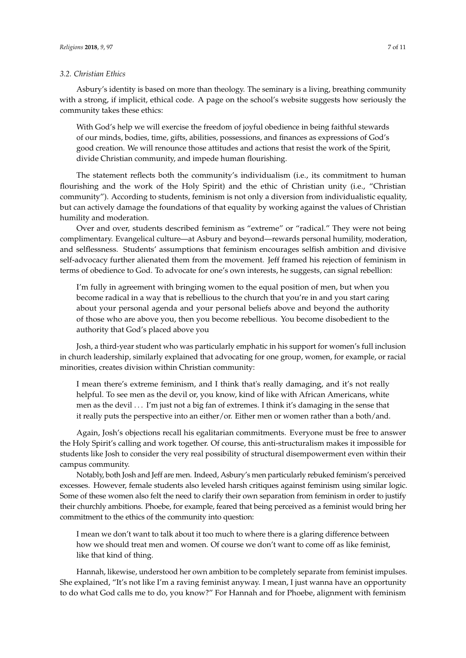#### *3.2. Christian Ethics*

Asbury's identity is based on more than theology. The seminary is a living, breathing community with a strong, if implicit, ethical code. A page on the school's website suggests how seriously the community takes these ethics:

With God's help we will exercise the freedom of joyful obedience in being faithful stewards of our minds, bodies, time, gifts, abilities, possessions, and finances as expressions of God's good creation. We will renounce those attitudes and actions that resist the work of the Spirit, divide Christian community, and impede human flourishing.

The statement reflects both the community's individualism (i.e., its commitment to human flourishing and the work of the Holy Spirit) and the ethic of Christian unity (i.e., "Christian community"). According to students, feminism is not only a diversion from individualistic equality, but can actively damage the foundations of that equality by working against the values of Christian humility and moderation.

Over and over, students described feminism as "extreme" or "radical." They were not being complimentary. Evangelical culture—at Asbury and beyond—rewards personal humility, moderation, and selflessness. Students' assumptions that feminism encourages selfish ambition and divisive self-advocacy further alienated them from the movement. Jeff framed his rejection of feminism in terms of obedience to God. To advocate for one's own interests, he suggests, can signal rebellion:

I'm fully in agreement with bringing women to the equal position of men, but when you become radical in a way that is rebellious to the church that you're in and you start caring about your personal agenda and your personal beliefs above and beyond the authority of those who are above you, then you become rebellious. You become disobedient to the authority that God's placed above you

Josh, a third-year student who was particularly emphatic in his support for women's full inclusion in church leadership, similarly explained that advocating for one group, women, for example, or racial minorities, creates division within Christian community:

I mean there's extreme feminism, and I think that's really damaging, and it's not really helpful. To see men as the devil or, you know, kind of like with African Americans, white men as the devil . . . I'm just not a big fan of extremes. I think it's damaging in the sense that it really puts the perspective into an either/or. Either men or women rather than a both/and.

Again, Josh's objections recall his egalitarian commitments. Everyone must be free to answer the Holy Spirit's calling and work together. Of course, this anti-structuralism makes it impossible for students like Josh to consider the very real possibility of structural disempowerment even within their campus community.

Notably, both Josh and Jeff are men. Indeed, Asbury's men particularly rebuked feminism's perceived excesses. However, female students also leveled harsh critiques against feminism using similar logic. Some of these women also felt the need to clarify their own separation from feminism in order to justify their churchly ambitions. Phoebe, for example, feared that being perceived as a feminist would bring her commitment to the ethics of the community into question:

I mean we don't want to talk about it too much to where there is a glaring difference between how we should treat men and women. Of course we don't want to come off as like feminist, like that kind of thing.

Hannah, likewise, understood her own ambition to be completely separate from feminist impulses. She explained, "It's not like I'm a raving feminist anyway. I mean, I just wanna have an opportunity to do what God calls me to do, you know?" For Hannah and for Phoebe, alignment with feminism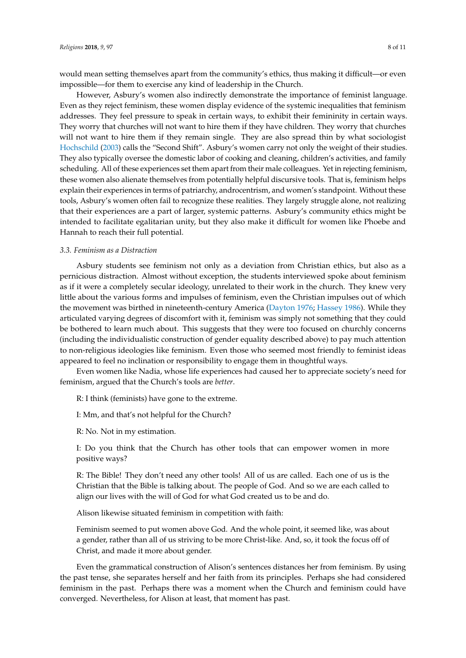would mean setting themselves apart from the community's ethics, thus making it difficult—or even impossible—for them to exercise any kind of leadership in the Church.

However, Asbury's women also indirectly demonstrate the importance of feminist language. Even as they reject feminism, these women display evidence of the systemic inequalities that feminism addresses. They feel pressure to speak in certain ways, to exhibit their femininity in certain ways. They worry that churches will not want to hire them if they have children. They worry that churches will not want to hire them if they remain single. They are also spread thin by what sociologist [Hochschild](#page-9-17) [\(2003\)](#page-9-17) calls the "Second Shift". Asbury's women carry not only the weight of their studies. They also typically oversee the domestic labor of cooking and cleaning, children's activities, and family scheduling. All of these experiences set them apart from their male colleagues. Yet in rejecting feminism, these women also alienate themselves from potentially helpful discursive tools. That is, feminism helps explain their experiences in terms of patriarchy, androcentrism, and women's standpoint. Without these tools, Asbury's women often fail to recognize these realities. They largely struggle alone, not realizing that their experiences are a part of larger, systemic patterns. Asbury's community ethics might be intended to facilitate egalitarian unity, but they also make it difficult for women like Phoebe and Hannah to reach their full potential.

#### *3.3. Feminism as a Distraction*

Asbury students see feminism not only as a deviation from Christian ethics, but also as a pernicious distraction. Almost without exception, the students interviewed spoke about feminism as if it were a completely secular ideology, unrelated to their work in the church. They knew very little about the various forms and impulses of feminism, even the Christian impulses out of which the movement was birthed in nineteenth-century America [\(Dayton](#page-9-18) [1976;](#page-9-18) [Hassey](#page-9-19) [1986\)](#page-9-19). While they articulated varying degrees of discomfort with it, feminism was simply not something that they could be bothered to learn much about. This suggests that they were too focused on churchly concerns (including the individualistic construction of gender equality described above) to pay much attention to non-religious ideologies like feminism. Even those who seemed most friendly to feminist ideas appeared to feel no inclination or responsibility to engage them in thoughtful ways.

Even women like Nadia, whose life experiences had caused her to appreciate society's need for feminism, argued that the Church's tools are *better*.

R: I think (feminists) have gone to the extreme.

I: Mm, and that's not helpful for the Church?

R: No. Not in my estimation.

I: Do you think that the Church has other tools that can empower women in more positive ways?

R: The Bible! They don't need any other tools! All of us are called. Each one of us is the Christian that the Bible is talking about. The people of God. And so we are each called to align our lives with the will of God for what God created us to be and do.

Alison likewise situated feminism in competition with faith:

Feminism seemed to put women above God. And the whole point, it seemed like, was about a gender, rather than all of us striving to be more Christ-like. And, so, it took the focus off of Christ, and made it more about gender.

Even the grammatical construction of Alison's sentences distances her from feminism. By using the past tense, she separates herself and her faith from its principles. Perhaps she had considered feminism in the past. Perhaps there was a moment when the Church and feminism could have converged. Nevertheless, for Alison at least, that moment has past.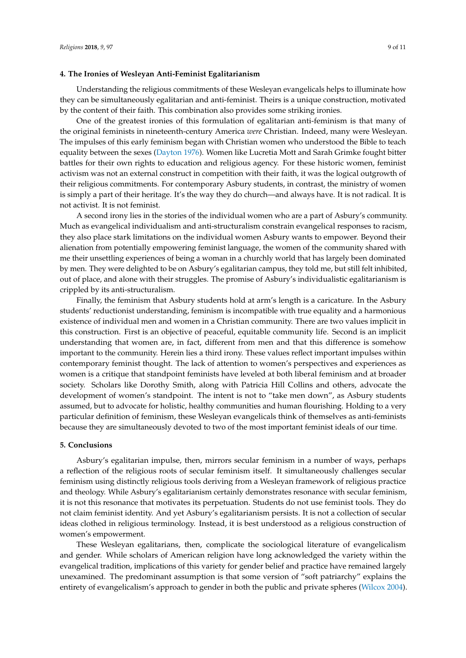Understanding the religious commitments of these Wesleyan evangelicals helps to illuminate how they can be simultaneously egalitarian and anti-feminist. Theirs is a unique construction, motivated by the content of their faith. This combination also provides some striking ironies.

One of the greatest ironies of this formulation of egalitarian anti-feminism is that many of the original feminists in nineteenth-century America *were* Christian. Indeed, many were Wesleyan. The impulses of this early feminism began with Christian women who understood the Bible to teach equality between the sexes [\(Dayton](#page-9-18) [1976\)](#page-9-18). Women like Lucretia Mott and Sarah Grimke fought bitter battles for their own rights to education and religious agency. For these historic women, feminist activism was not an external construct in competition with their faith, it was the logical outgrowth of their religious commitments. For contemporary Asbury students, in contrast, the ministry of women is simply a part of their heritage. It's the way they do church—and always have. It is not radical. It is not activist. It is not feminist.

A second irony lies in the stories of the individual women who are a part of Asbury's community. Much as evangelical individualism and anti-structuralism constrain evangelical responses to racism, they also place stark limitations on the individual women Asbury wants to empower. Beyond their alienation from potentially empowering feminist language, the women of the community shared with me their unsettling experiences of being a woman in a churchly world that has largely been dominated by men. They were delighted to be on Asbury's egalitarian campus, they told me, but still felt inhibited, out of place, and alone with their struggles. The promise of Asbury's individualistic egalitarianism is crippled by its anti-structuralism.

Finally, the feminism that Asbury students hold at arm's length is a caricature. In the Asbury students' reductionist understanding, feminism is incompatible with true equality and a harmonious existence of individual men and women in a Christian community. There are two values implicit in this construction. First is an objective of peaceful, equitable community life. Second is an implicit understanding that women are, in fact, different from men and that this difference is somehow important to the community. Herein lies a third irony. These values reflect important impulses within contemporary feminist thought. The lack of attention to women's perspectives and experiences as women is a critique that standpoint feminists have leveled at both liberal feminism and at broader society. Scholars like Dorothy Smith, along with Patricia Hill Collins and others, advocate the development of women's standpoint. The intent is not to "take men down", as Asbury students assumed, but to advocate for holistic, healthy communities and human flourishing. Holding to a very particular definition of feminism, these Wesleyan evangelicals think of themselves as anti-feminists because they are simultaneously devoted to two of the most important feminist ideals of our time.

# **5. Conclusions**

Asbury's egalitarian impulse, then, mirrors secular feminism in a number of ways, perhaps a reflection of the religious roots of secular feminism itself. It simultaneously challenges secular feminism using distinctly religious tools deriving from a Wesleyan framework of religious practice and theology. While Asbury's egalitarianism certainly demonstrates resonance with secular feminism, it is not this resonance that motivates its perpetuation. Students do not use feminist tools. They do not claim feminist identity. And yet Asbury's egalitarianism persists. It is not a collection of secular ideas clothed in religious terminology. Instead, it is best understood as a religious construction of women's empowerment.

These Wesleyan egalitarians, then, complicate the sociological literature of evangelicalism and gender. While scholars of American religion have long acknowledged the variety within the evangelical tradition, implications of this variety for gender belief and practice have remained largely unexamined. The predominant assumption is that some version of "soft patriarchy" explains the entirety of evangelicalism's approach to gender in both the public and private spheres [\(Wilcox](#page-10-1) [2004\)](#page-10-1).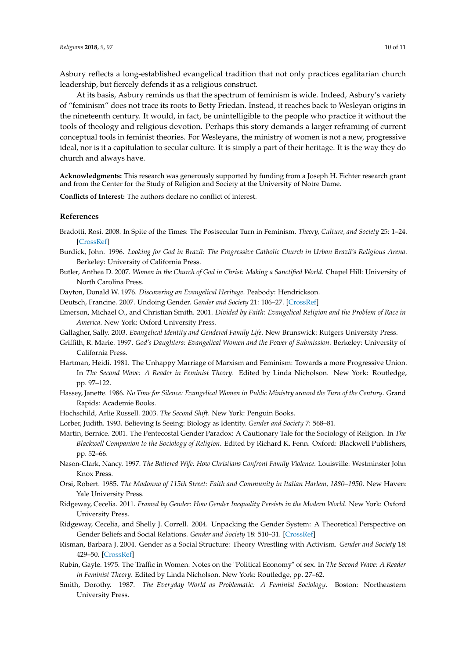Asbury reflects a long-established evangelical tradition that not only practices egalitarian church leadership, but fiercely defends it as a religious construct.

At its basis, Asbury reminds us that the spectrum of feminism is wide. Indeed, Asbury's variety of "feminism" does not trace its roots to Betty Friedan. Instead, it reaches back to Wesleyan origins in the nineteenth century. It would, in fact, be unintelligible to the people who practice it without the tools of theology and religious devotion. Perhaps this story demands a larger reframing of current conceptual tools in feminist theories. For Wesleyans, the ministry of women is not a new, progressive ideal, nor is it a capitulation to secular culture. It is simply a part of their heritage. It is the way they do church and always have.

**Acknowledgments:** This research was generously supported by funding from a Joseph H. Fichter research grant and from the Center for the Study of Religion and Society at the University of Notre Dame.

**Conflicts of Interest:** The authors declare no conflict of interest.

# **References**

- <span id="page-9-8"></span>Bradotti, Rosi. 2008. In Spite of the Times: The Postsecular Turn in Feminism. *Theory, Culture, and Society* 25: 1–24. [\[CrossRef\]](http://dx.doi.org/10.1177/0263276408095542)
- <span id="page-9-10"></span>Burdick, John. 1996. *Looking for God in Brazil: The Progressive Catholic Church in Urban Brazil's Religious Arena*. Berkeley: University of California Press.
- <span id="page-9-15"></span>Butler, Anthea D. 2007. *Women in the Church of God in Christ: Making a Sanctified World*. Chapel Hill: University of North Carolina Press.
- <span id="page-9-18"></span>Dayton, Donald W. 1976. *Discovering an Evangelical Heritage*. Peabody: Hendrickson.
- <span id="page-9-3"></span>Deutsch, Francine. 2007. Undoing Gender. *Gender and Society* 21: 106–27. [\[CrossRef\]](http://dx.doi.org/10.1177/0891243206293577)
- <span id="page-9-16"></span>Emerson, Michael O., and Christian Smith. 2001. *Divided by Faith: Evangelical Religion and the Problem of Race in America*. New York: Oxford University Press.

<span id="page-9-13"></span>Gallagher, Sally. 2003. *Evangelical Identity and Gendered Family Life*. New Brunswick: Rutgers University Press.

- <span id="page-9-11"></span>Griffith, R. Marie. 1997. *God's Daughters: Evangelical Women and the Power of Submission*. Berkeley: University of California Press.
- <span id="page-9-5"></span>Hartman, Heidi. 1981. The Unhappy Marriage of Marxism and Feminism: Towards a more Progressive Union. In *The Second Wave: A Reader in Feminist Theory*. Edited by Linda Nicholson. New York: Routledge, pp. 97–122.
- <span id="page-9-19"></span>Hassey, Janette. 1986. *No Time for Silence: Evangelical Women in Public Ministry around the Turn of the Century*. Grand Rapids: Academie Books.
- <span id="page-9-17"></span><span id="page-9-6"></span>Hochschild, Arlie Russell. 2003. *The Second Shift*. New York: Penguin Books.
- Lorber, Judith. 1993. Believing Is Seeing: Biology as Identity. *Gender and Society* 7: 568–81.
- <span id="page-9-14"></span>Martin, Bernice. 2001. The Pentecostal Gender Paradox: A Cautionary Tale for the Sociology of Religion. In *The Blackwell Companion to the Sociology of Religion*. Edited by Richard K. Fenn. Oxford: Blackwell Publishers, pp. 52–66.
- <span id="page-9-12"></span>Nason-Clark, Nancy. 1997. *The Battered Wife: How Christians Confront Family Violence*. Louisville: Westminster John Knox Press.
- <span id="page-9-9"></span>Orsi, Robert. 1985. *The Madonna of 115th Street: Faith and Community in Italian Harlem, 1880–1950*. New Haven: Yale University Press.
- <span id="page-9-1"></span>Ridgeway, Cecelia. 2011. *Framed by Gender: How Gender Inequality Persists in the Modern World*. New York: Oxford University Press.
- <span id="page-9-2"></span>Ridgeway, Cecelia, and Shelly J. Correll. 2004. Unpacking the Gender System: A Theoretical Perspective on Gender Beliefs and Social Relations. *Gender and Society* 18: 510–31. [\[CrossRef\]](http://dx.doi.org/10.1177/0891243204265269)
- <span id="page-9-4"></span>Risman, Barbara J. 2004. Gender as a Social Structure: Theory Wrestling with Activism. *Gender and Society* 18: 429–50. [\[CrossRef\]](http://dx.doi.org/10.1177/0891243204265349)
- <span id="page-9-7"></span>Rubin, Gayle. 1975. The Traffic in Women: Notes on the "Political Economy" of sex. In *The Second Wave: A Reader in Feminist Theory*. Edited by Linda Nicholson. New York: Routledge, pp. 27–62.
- <span id="page-9-0"></span>Smith, Dorothy. 1987. *The Everyday World as Problematic: A Feminist Sociology*. Boston: Northeastern University Press.